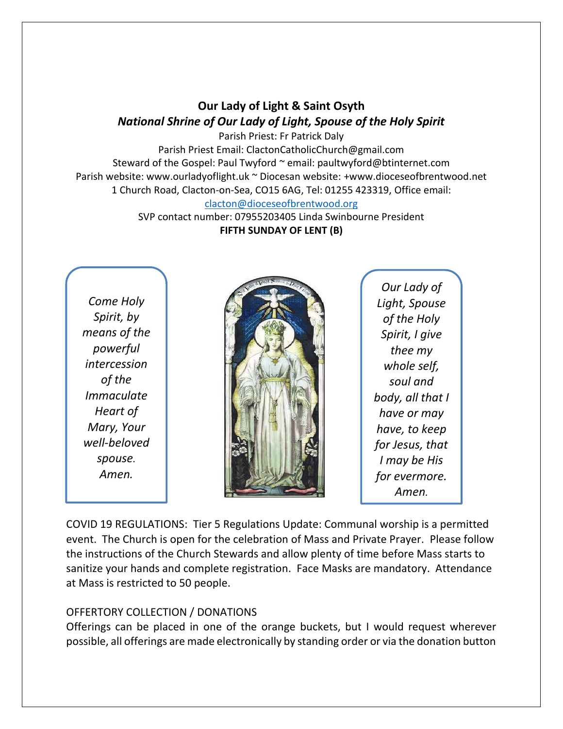## **Our Lady of Light & Saint Osyth** *National Shrine of Our Lady of Light, Spouse of the Holy Spirit*

Parish Priest: Fr Patrick Daly Parish Priest Email: ClactonCatholicChurch@gmail.com Steward of the Gospel: Paul Twyford ~ email: paultwyford@btinternet.com Parish website: www.ourladyoflight.uk ~ Diocesan website: +www.dioceseofbrentwood.net 1 Church Road, Clacton-on-Sea, CO15 6AG, Tel: 01255 423319, Office email: [clacton@dioceseofbrentwood.org](mailto:clacton@dioceseofbrentwood.org)

> SVP contact number: 07955203405 Linda Swinbourne President **FIFTH SUNDAY OF LENT (B)**

*Come Holy Spirit, by means of the powerful intercession of the Immaculate Heart of Mary, Your well-beloved spouse. Amen.*



*Our Lady of Light, Spouse of the Holy Spirit, I give thee my whole self, soul and body, all that I have or may have, to keep for Jesus, that I may be His for evermore. Amen.*

COVID 19 REGULATIONS: Tier 5 Regulations Update: Communal worship is a permitted event. The Church is open for the celebration of Mass and Private Prayer. Please follow the instructions of the Church Stewards and allow plenty of time before Mass starts to sanitize your hands and complete registration. Face Masks are mandatory. Attendance at Mass is restricted to 50 people.

## OFFERTORY COLLECTION / DONATIONS

Offerings can be placed in one of the orange buckets, but I would request wherever possible, all offerings are made electronically by standing order or via the donation button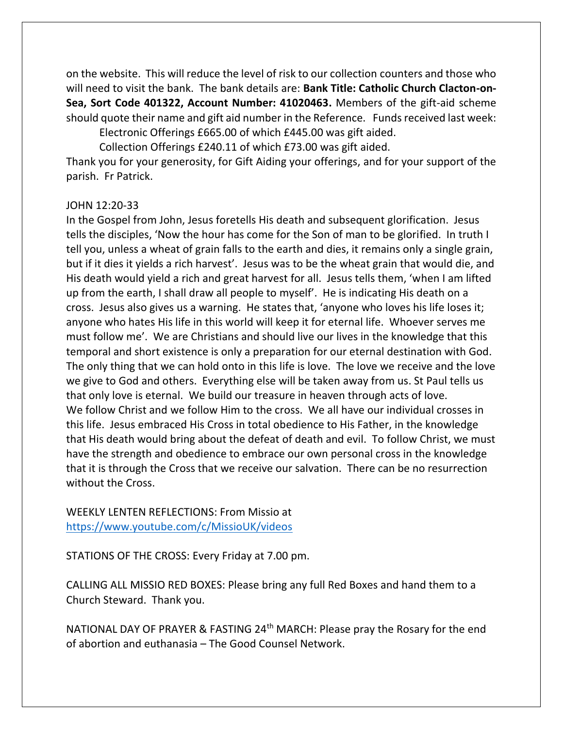on the website. This will reduce the level of risk to our collection counters and those who will need to visit the bank. The bank details are: **Bank Title: Catholic Church Clacton-on-Sea, Sort Code 401322, Account Number: 41020463.** Members of the gift-aid scheme should quote their name and gift aid number in the Reference. Funds received last week:

Electronic Offerings £665.00 of which £445.00 was gift aided. Collection Offerings £240.11 of which £73.00 was gift aided.

Thank you for your generosity, for Gift Aiding your offerings, and for your support of the parish. Fr Patrick.

## JOHN 12:20-33

In the Gospel from John, Jesus foretells His death and subsequent glorification. Jesus tells the disciples, 'Now the hour has come for the Son of man to be glorified. In truth I tell you, unless a wheat of grain falls to the earth and dies, it remains only a single grain, but if it dies it yields a rich harvest'. Jesus was to be the wheat grain that would die, and His death would yield a rich and great harvest for all. Jesus tells them, 'when I am lifted up from the earth, I shall draw all people to myself'. He is indicating His death on a cross. Jesus also gives us a warning. He states that, 'anyone who loves his life loses it; anyone who hates His life in this world will keep it for eternal life. Whoever serves me must follow me'. We are Christians and should live our lives in the knowledge that this temporal and short existence is only a preparation for our eternal destination with God. The only thing that we can hold onto in this life is love. The love we receive and the love we give to God and others. Everything else will be taken away from us. St Paul tells us that only love is eternal. We build our treasure in heaven through acts of love. We follow Christ and we follow Him to the cross. We all have our individual crosses in this life. Jesus embraced His Cross in total obedience to His Father, in the knowledge that His death would bring about the defeat of death and evil. To follow Christ, we must have the strength and obedience to embrace our own personal cross in the knowledge that it is through the Cross that we receive our salvation. There can be no resurrection without the Cross.

WEEKLY LENTEN REFLECTIONS: From Missio at <https://www.youtube.com/c/MissioUK/videos>

STATIONS OF THE CROSS: Every Friday at 7.00 pm.

CALLING ALL MISSIO RED BOXES: Please bring any full Red Boxes and hand them to a Church Steward. Thank you.

NATIONAL DAY OF PRAYER & FASTING 24th MARCH: Please pray the Rosary for the end of abortion and euthanasia – The Good Counsel Network.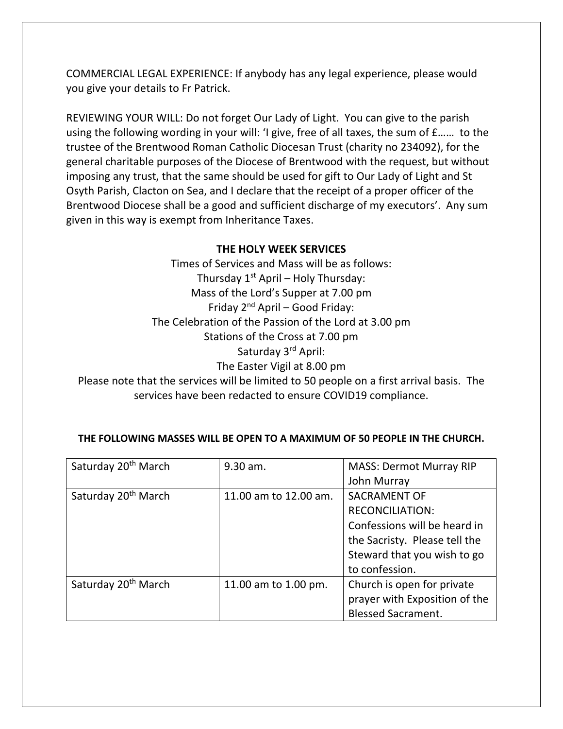COMMERCIAL LEGAL EXPERIENCE: If anybody has any legal experience, please would you give your details to Fr Patrick.

REVIEWING YOUR WILL: Do not forget Our Lady of Light. You can give to the parish using the following wording in your will: 'I give, free of all taxes, the sum of £…… to the trustee of the Brentwood Roman Catholic Diocesan Trust (charity no 234092), for the general charitable purposes of the Diocese of Brentwood with the request, but without imposing any trust, that the same should be used for gift to Our Lady of Light and St Osyth Parish, Clacton on Sea, and I declare that the receipt of a proper officer of the Brentwood Diocese shall be a good and sufficient discharge of my executors'. Any sum given in this way is exempt from Inheritance Taxes.

## **THE HOLY WEEK SERVICES**

Times of Services and Mass will be as follows: Thursday  $1^{st}$  April – Holy Thursday: Mass of the Lord's Supper at 7.00 pm Friday  $2^{nd}$  April – Good Friday: The Celebration of the Passion of the Lord at 3.00 pm Stations of the Cross at 7.00 pm Saturday 3rd April: The Easter Vigil at 8.00 pm Please note that the services will be limited to 50 people on a first arrival basis. The services have been redacted to ensure COVID19 compliance.

|  | THE FOLLOWING MASSES WILL BE OPEN TO A MAXIMUM OF 50 PEOPLE IN THE CHURCH. |
|--|----------------------------------------------------------------------------|

| Saturday 20 <sup>th</sup> March | 9.30 am.              | <b>MASS: Dermot Murray RIP</b> |
|---------------------------------|-----------------------|--------------------------------|
|                                 |                       | John Murray                    |
| Saturday 20 <sup>th</sup> March | 11.00 am to 12.00 am. | <b>SACRAMENT OF</b>            |
|                                 |                       | <b>RECONCILIATION:</b>         |
|                                 |                       | Confessions will be heard in   |
|                                 |                       | the Sacristy. Please tell the  |
|                                 |                       | Steward that you wish to go    |
|                                 |                       | to confession.                 |
| Saturday 20 <sup>th</sup> March | 11.00 am to 1.00 pm.  | Church is open for private     |
|                                 |                       | prayer with Exposition of the  |
|                                 |                       | <b>Blessed Sacrament.</b>      |